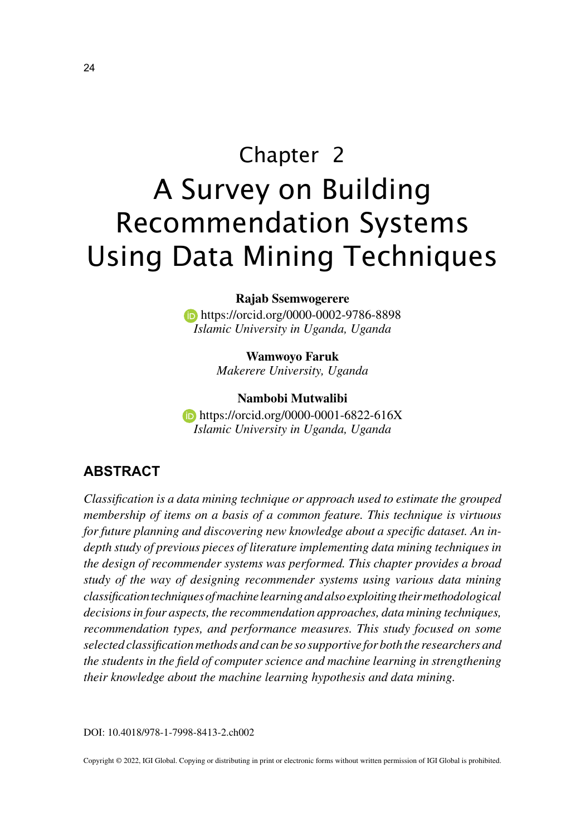# Chapter 2 A Survey on Building Recommendation Systems Using Data Mining Techniques

#### **Rajab Ssemwogerere**

**https://orcid.org/0000-0002-9786-8898** *Islamic University in Uganda, Uganda*

> **Wamwoyo Faruk** *Makerere University, Uganda*

**Nambobi Mutwalibi**

**https://orcid.org/0000-0001-6822-616X** *Islamic University in Uganda, Uganda*

#### **ABSTRACT**

*Classification is a data mining technique or approach used to estimate the grouped membership of items on a basis of a common feature. This technique is virtuous for future planning and discovering new knowledge about a specific dataset. An indepth study of previous pieces of literature implementing data mining techniques in the design of recommender systems was performed. This chapter provides a broad study of the way of designing recommender systems using various data mining classification techniques of machine learning and also exploiting their methodological decisions in four aspects, the recommendation approaches, data mining techniques, recommendation types, and performance measures. This study focused on some selected classification methods and can be so supportive for both the researchers and the students in the field of computer science and machine learning in strengthening their knowledge about the machine learning hypothesis and data mining.*

DOI: 10.4018/978-1-7998-8413-2.ch002

Copyright © 2022, IGI Global. Copying or distributing in print or electronic forms without written permission of IGI Global is prohibited.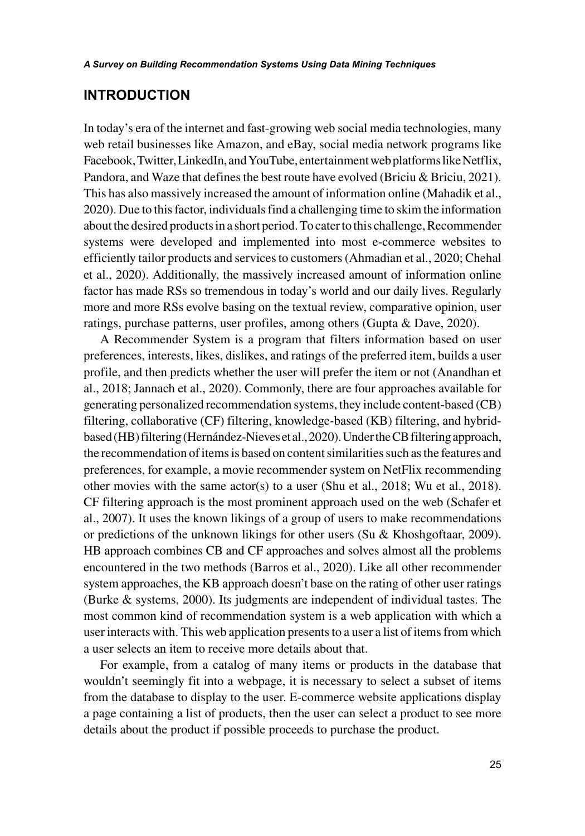#### **INTRODUCTION**

In today's era of the internet and fast-growing web social media technologies, many web retail businesses like Amazon, and eBay, social media network programs like Facebook, Twitter, LinkedIn, and YouTube, entertainment web platforms like Netflix, Pandora, and Waze that defines the best route have evolved (Briciu & Briciu, 2021). This has also massively increased the amount of information online (Mahadik et al., 2020). Due to this factor, individuals find a challenging time to skim the information about the desired products in a short period. To cater to this challenge, Recommender systems were developed and implemented into most e-commerce websites to efficiently tailor products and services to customers (Ahmadian et al., 2020; Chehal et al., 2020). Additionally, the massively increased amount of information online factor has made RSs so tremendous in today's world and our daily lives. Regularly more and more RSs evolve basing on the textual review, comparative opinion, user ratings, purchase patterns, user profiles, among others (Gupta & Dave, 2020).

A Recommender System is a program that filters information based on user preferences, interests, likes, dislikes, and ratings of the preferred item, builds a user profile, and then predicts whether the user will prefer the item or not (Anandhan et al., 2018; Jannach et al., 2020). Commonly, there are four approaches available for generating personalized recommendation systems, they include content-based (CB) filtering, collaborative (CF) filtering, knowledge-based (KB) filtering, and hybridbased (HB) filtering (Hernández-Nieves et al., 2020). Under the CB filtering approach, the recommendation of items is based on content similarities such as the features and preferences, for example, a movie recommender system on NetFlix recommending other movies with the same  $actor(s)$  to a user (Shu et al., 2018; Wu et al., 2018). CF filtering approach is the most prominent approach used on the web (Schafer et al., 2007). It uses the known likings of a group of users to make recommendations or predictions of the unknown likings for other users (Su & Khoshgoftaar, 2009). HB approach combines CB and CF approaches and solves almost all the problems encountered in the two methods (Barros et al., 2020). Like all other recommender system approaches, the KB approach doesn't base on the rating of other user ratings (Burke & systems, 2000). Its judgments are independent of individual tastes. The most common kind of recommendation system is a web application with which a user interacts with. This web application presents to a user a list of items from which a user selects an item to receive more details about that.

For example, from a catalog of many items or products in the database that wouldn't seemingly fit into a webpage, it is necessary to select a subset of items from the database to display to the user. E-commerce website applications display a page containing a list of products, then the user can select a product to see more details about the product if possible proceeds to purchase the product.